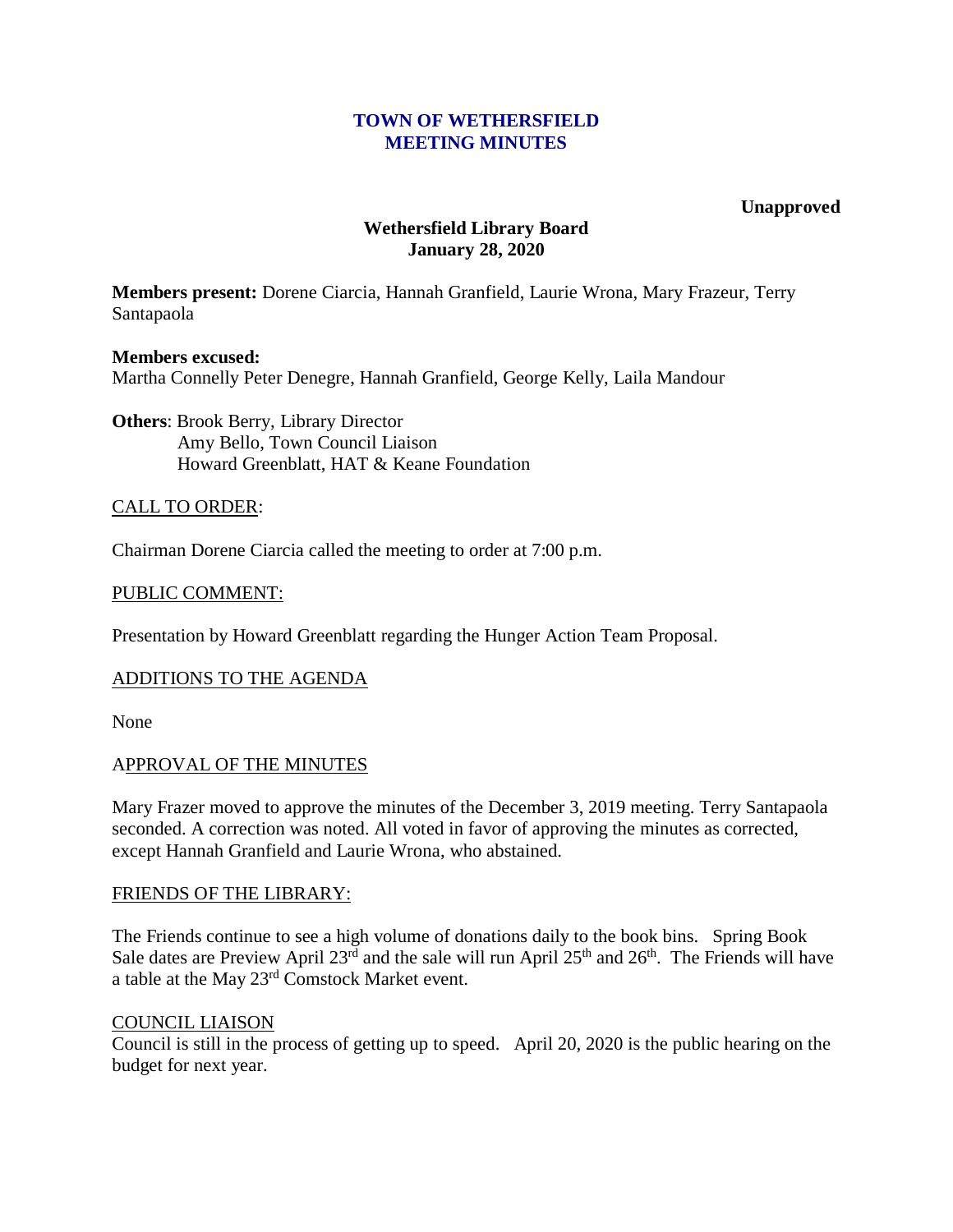### **TOWN OF WETHERSFIELD MEETING MINUTES**

#### **Unapproved**

# **Wethersfield Library Board January 28, 2020**

**Members present:** Dorene Ciarcia, Hannah Granfield, Laurie Wrona, Mary Frazeur, Terry Santapaola

# **Members excused:** Martha Connelly Peter Denegre, Hannah Granfield, George Kelly, Laila Mandour

**Others**: Brook Berry, Library Director Amy Bello, Town Council Liaison Howard Greenblatt, HAT & Keane Foundation

### CALL TO ORDER:

Chairman Dorene Ciarcia called the meeting to order at 7:00 p.m.

### PUBLIC COMMENT:

Presentation by Howard Greenblatt regarding the Hunger Action Team Proposal.

### ADDITIONS TO THE AGENDA

None

### APPROVAL OF THE MINUTES

Mary Frazer moved to approve the minutes of the December 3, 2019 meeting. Terry Santapaola seconded. A correction was noted. All voted in favor of approving the minutes as corrected, except Hannah Granfield and Laurie Wrona, who abstained.

### FRIENDS OF THE LIBRARY:

The Friends continue to see a high volume of donations daily to the book bins. Spring Book Sale dates are Preview April 23<sup>rd</sup> and the sale will run April 25<sup>th</sup> and 26<sup>th</sup>. The Friends will have a table at the May 23rd Comstock Market event.

### COUNCIL LIAISON

Council is still in the process of getting up to speed. April 20, 2020 is the public hearing on the budget for next year.